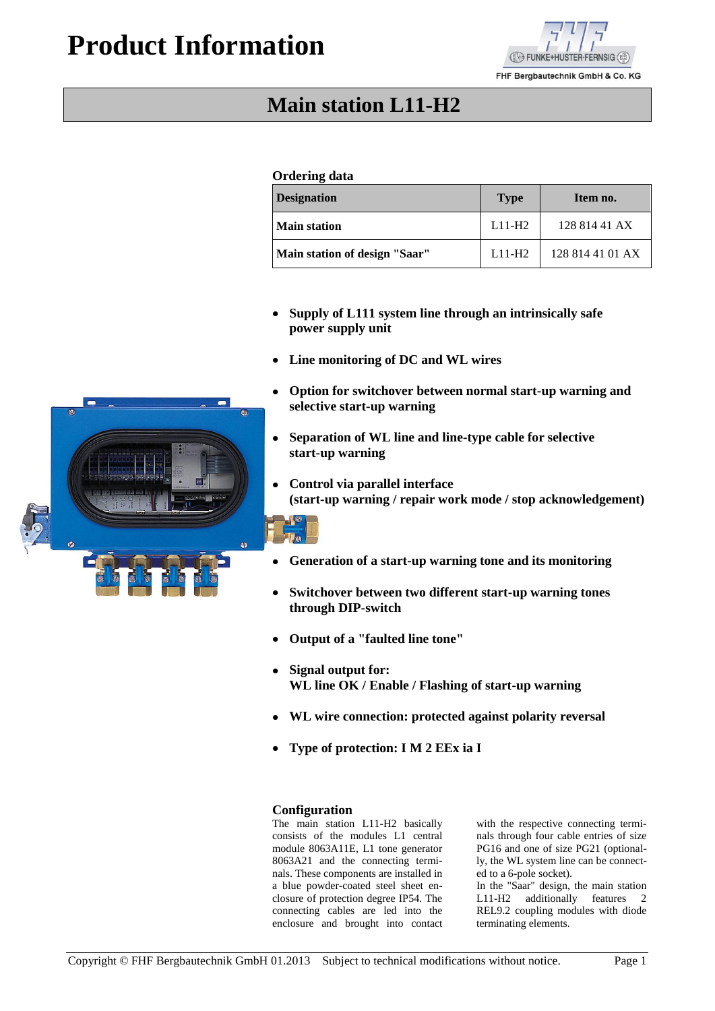# **Product Information**



FHF Bergbautechnik GmbH & Co. KG

## **Main station L11-H2**

### **Ordering data**

| <b>Designation</b>            | <b>Type</b> | Item no.         |
|-------------------------------|-------------|------------------|
| <b>Main station</b>           | $L11-H2$    | 128 814 41 AX    |
| Main station of design "Saar" | $L11-H2$    | 128 814 41 01 AX |

- **Supply of L111 system line through an intrinsically safe**  $\bullet$ **power supply unit**
- **Line monitoring of DC and WL wires**  $\bullet$
- **Option for switchover between normal start-up warning and selective start-up warning**
- **Separation of WL line and line-type cable for selective start-up warning**
- $\bullet$ **Control via parallel interface (start-up warning / repair work mode / stop acknowledgement)**

- **Generation of a start-up warning tone and its monitoring**
- **Switchover between two different start-up warning tones through DIP-switch**
- **Output of a "faulted line tone"**
- **Signal output for: WL line OK / Enable / Flashing of start-up warning**
- **WL wire connection: protected against polarity reversal**
- **Type of protection: I M 2 EEx ia I**

#### **Configuration**

The main station L11-H2 basically consists of the modules L1 central module 8063A11E, L1 tone generator 8063A21 and the connecting terminals. These components are installed in a blue powder-coated steel sheet enclosure of protection degree IP54. The connecting cables are led into the enclosure and brought into contact with the respective connecting terminals through four cable entries of size PG16 and one of size PG21 (optionally, the WL system line can be connected to a 6-pole socket).

In the "Saar" design, the main station L11-H2 additionally features 2 REL9.2 coupling modules with diode terminating elements.

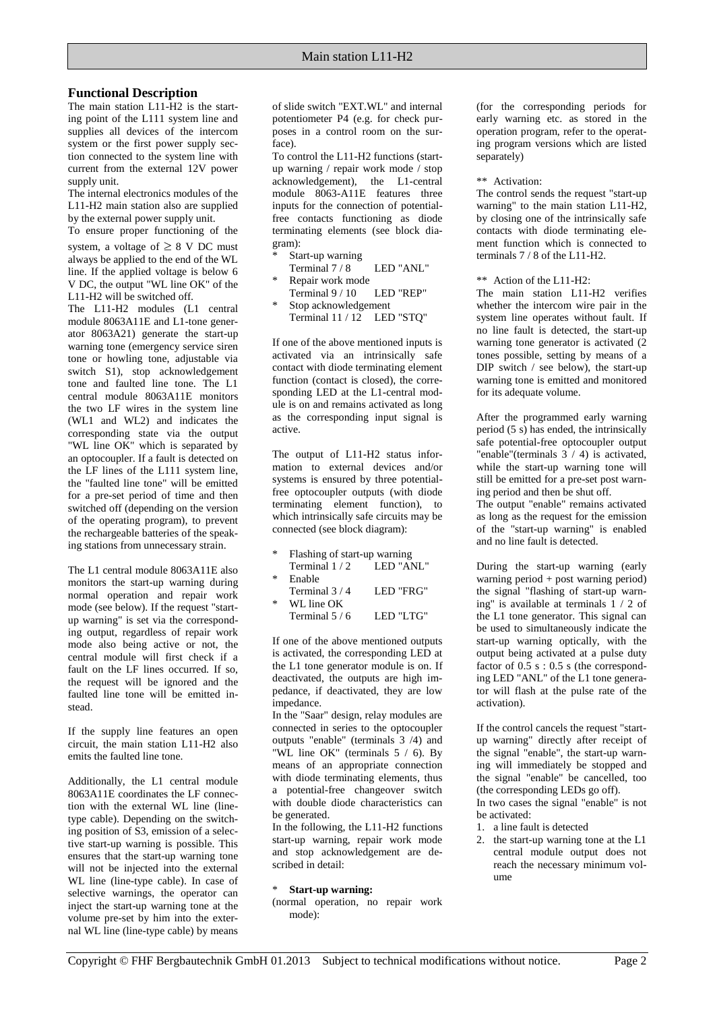#### **Functional Description**

The main station L11-H2 is the starting point of the L111 system line and supplies all devices of the intercom system or the first power supply section connected to the system line with current from the external 12V power supply unit.

The internal electronics modules of the L11-H2 main station also are supplied by the external power supply unit.

To ensure proper functioning of the system, a voltage of  $\geq 8$  V DC must always be applied to the end of the WL line. If the applied voltage is below 6 V DC, the output "WL line OK" of the L11-H2 will be switched off.

The L11-H2 modules (L1 central module 8063A11E and L1-tone generator 8063A21) generate the start-up warning tone (emergency service siren tone or howling tone, adjustable via switch S1), stop acknowledgement tone and faulted line tone. The L1 central module 8063A11E monitors the two LF wires in the system line (WL1 and WL2) and indicates the corresponding state via the output "WL line OK" which is separated by an optocoupler. If a fault is detected on the LF lines of the L111 system line, the "faulted line tone" will be emitted for a pre-set period of time and then switched off (depending on the version of the operating program), to prevent the rechargeable batteries of the speaking stations from unnecessary strain.

The L1 central module 8063A11E also monitors the start-up warning during normal operation and repair work mode (see below). If the request "startup warning" is set via the corresponding output, regardless of repair work mode also being active or not, the central module will first check if a fault on the LF lines occurred. If so, the request will be ignored and the faulted line tone will be emitted instead.

If the supply line features an open circuit, the main station L11-H2 also emits the faulted line tone.

Additionally, the L1 central module 8063A11E coordinates the LF connection with the external WL line (linetype cable). Depending on the switching position of S3, emission of a selective start-up warning is possible. This ensures that the start-up warning tone will not be injected into the external WL line (line-type cable). In case of selective warnings, the operator can inject the start-up warning tone at the volume pre-set by him into the external WL line (line-type cable) by means

of slide switch "EXT.WL" and internal potentiometer P4 (e.g. for check purposes in a control room on the surface).

To control the L11-H2 functions (startup warning / repair work mode / stop acknowledgement), the L1-central module 8063-A11E features three inputs for the connection of potentialfree contacts functioning as diode terminating elements (see block diagram):

- Start-up warning Terminal  $7/8$  LED "ANL"
- Repair work mode Terminal 9 / 10 LED "REP"
- Stop acknowledgement Terminal 11 / 12 LED "STQ"

If one of the above mentioned inputs is activated via an intrinsically safe contact with diode terminating element function (contact is closed), the corresponding LED at the L1-central module is on and remains activated as long as the corresponding input signal is active.

The output of L11-H2 status information to external devices and/or systems is ensured by three potentialfree optocoupler outputs (with diode terminating element function), to which intrinsically safe circuits may be connected (see block diagram):

- Flashing of start-up warning Terminal  $1/2$  LED "ANL"
- **Enable**
- Terminal 3 / 4 LED "FRG" WL line OK
- Terminal  $5/6$  LED "LTG"

If one of the above mentioned outputs is activated, the corresponding LED at the L1 tone generator module is on. If deactivated, the outputs are high impedance, if deactivated, they are low impedance.

In the "Saar" design, relay modules are connected in series to the optocoupler outputs "enable" (terminals 3 /4) and "WL line OK" (terminals 5 / 6). By means of an appropriate connection with diode terminating elements, thus a potential-free changeover switch with double diode characteristics can be generated.

In the following, the L11-H2 functions start-up warning, repair work mode and stop acknowledgement are described in detail:

#### \* **Start-up warning:**

(normal operation, no repair work mode):

(for the corresponding periods for early warning etc. as stored in the operation program, refer to the operating program versions which are listed separately)

#### \*\* Activation:

The control sends the request "start-up warning" to the main station L11-H2, by closing one of the intrinsically safe contacts with diode terminating element function which is connected to terminals 7 / 8 of the L11-H2.

\*\* Action of the L11-H2:

The main station L11-H2 verifies whether the intercom wire pair in the system line operates without fault. If no line fault is detected, the start-up warning tone generator is activated (2 tones possible, setting by means of a DIP switch / see below), the start-up warning tone is emitted and monitored for its adequate volume.

After the programmed early warning period  $(5 \text{ s})$  has ended, the intrinsically safe potential-free optocoupler output "enable"(terminals 3 / 4) is activated, while the start-up warning tone will still be emitted for a pre-set post warning period and then be shut off.

The output "enable" remains activated as long as the request for the emission of the "start-up warning" is enabled and no line fault is detected.

During the start-up warning (early warning period + post warning period) the signal "flashing of start-up warning" is available at terminals 1 / 2 of the L1 tone generator. This signal can be used to simultaneously indicate the start-up warning optically, with the output being activated at a pulse duty factor of  $0.5$  s :  $0.5$  s (the corresponding LED "ANL" of the L1 tone generator will flash at the pulse rate of the activation).

If the control cancels the request "startup warning" directly after receipt of the signal "enable", the start-up warning will immediately be stopped and the signal "enable" be cancelled, too (the corresponding LEDs go off).

In two cases the signal "enable" is not be activated:

- 1. a line fault is detected
- 2. the start-up warning tone at the L1 central module output does not reach the necessary minimum volume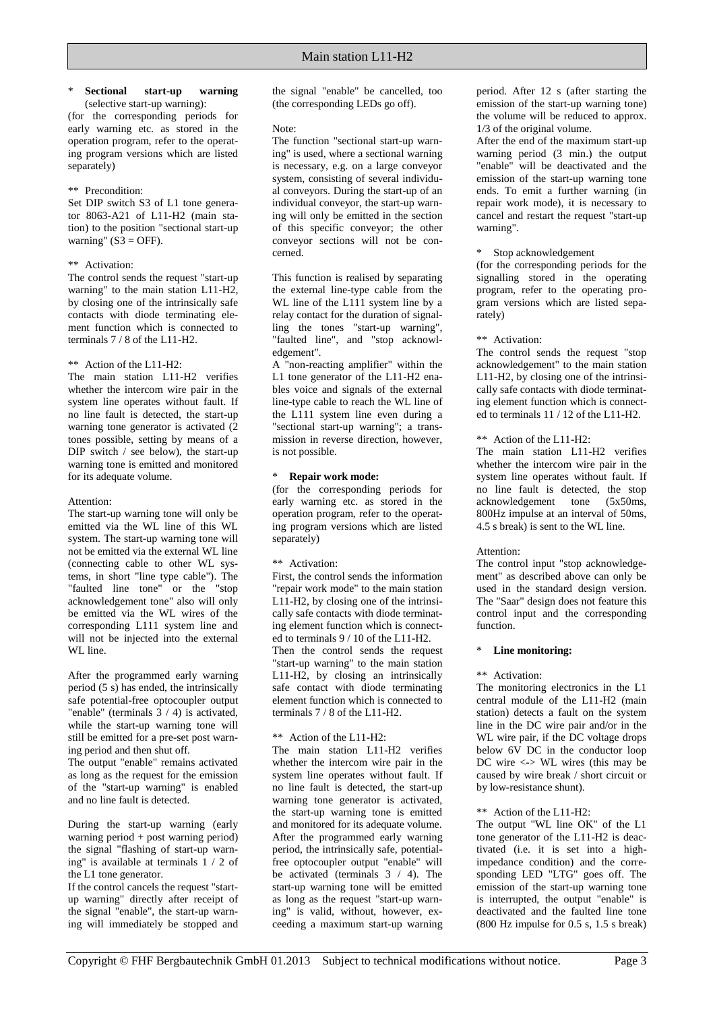#### \* **Sectional start-up warning**

(selective start-up warning): (for the corresponding periods for early warning etc. as stored in the operation program, refer to the operating program versions which are listed separately)

#### \*\* Precondition:

Set DIP switch S3 of L1 tone generator 8063-A21 of L11-H2 (main station) to the position "sectional start-up warning"  $(S3 = OFF)$ .

#### \*\* Activation:

The control sends the request "start-up warning" to the main station L11-H2, by closing one of the intrinsically safe contacts with diode terminating element function which is connected to terminals 7 / 8 of the L11-H2.

#### \*\* Action of the L11-H2:

The main station L11-H2 verifies whether the intercom wire pair in the system line operates without fault. If no line fault is detected, the start-up warning tone generator is activated (2 tones possible, setting by means of a DIP switch  $/$  see below), the start-up warning tone is emitted and monitored for its adequate volume.

#### Attention:

The start-up warning tone will only be emitted via the WL line of this WL system. The start-up warning tone will not be emitted via the external WL line (connecting cable to other WL systems, in short "line type cable"). The "faulted line tone" or the "stop acknowledgement tone" also will only be emitted via the WL wires of the corresponding L111 system line and will not be injected into the external WL line.

After the programmed early warning period  $(5 \text{ s})$  has ended, the intrinsically safe potential-free optocoupler output "enable" (terminals 3 / 4) is activated, while the start-up warning tone will still be emitted for a pre-set post warning period and then shut off.

The output "enable" remains activated as long as the request for the emission of the "start-up warning" is enabled and no line fault is detected.

During the start-up warning (early warning period + post warning period) the signal "flashing of start-up warning" is available at terminals 1 / 2 of the L1 tone generator.

If the control cancels the request "startup warning" directly after receipt of the signal "enable", the start-up warning will immediately be stopped and

the signal "enable" be cancelled, too (the corresponding LEDs go off).

#### Note:

The function "sectional start-up warning" is used, where a sectional warning is necessary, e.g. on a large conveyor system, consisting of several individual conveyors. During the start-up of an individual conveyor, the start-up warning will only be emitted in the section of this specific conveyor; the other conveyor sections will not be concerned.

This function is realised by separating the external line-type cable from the WL line of the L111 system line by a relay contact for the duration of signalling the tones "start-up warning", "faulted line", and "stop acknowledgement".

A "non-reacting amplifier" within the L1 tone generator of the L11-H2 enables voice and signals of the external line-type cable to reach the WL line of the L111 system line even during a "sectional start-up warning"; a transmission in reverse direction, however, is not possible.

#### \* **Repair work mode:**

(for the corresponding periods for early warning etc. as stored in the operation program, refer to the operating program versions which are listed separately)

#### \*\* Activation:

First, the control sends the information "repair work mode" to the main station  $L11-H2$ , by closing one of the intrinsically safe contacts with diode terminating element function which is connected to terminals 9 / 10 of the L11-H2. Then the control sends the request "start-up warning" to the main station L11-H2, by closing an intrinsically safe contact with diode terminating element function which is connected to terminals 7 / 8 of the L11-H2.

#### \*\* Action of the L11-H2:

The main station L11-H2 verifies whether the intercom wire pair in the system line operates without fault. If no line fault is detected, the start-up warning tone generator is activated, the start-up warning tone is emitted and monitored for its adequate volume. After the programmed early warning period, the intrinsically safe, potentialfree optocoupler output "enable" will be activated (terminals  $3 / 4$ ). The start-up warning tone will be emitted as long as the request "start-up warning" is valid, without, however, exceeding a maximum start-up warning period. After 12 s (after starting the emission of the start-up warning tone) the volume will be reduced to approx. 1/3 of the original volume.

After the end of the maximum start-up warning period (3 min.) the output "enable" will be deactivated and the emission of the start-up warning tone ends. To emit a further warning (in repair work mode), it is necessary to cancel and restart the request "start-up warning".

#### \* Stop acknowledgement

(for the corresponding periods for the signalling stored in the operating program, refer to the operating program versions which are listed separately)

#### \*\* Activation:

The control sends the request "stop acknowledgement" to the main station L11-H2, by closing one of the intrinsically safe contacts with diode terminating element function which is connected to terminals 11 / 12 of the L11-H2.

#### \*\* Action of the L11-H2:

The main station L11-H2 verifies whether the intercom wire pair in the system line operates without fault. If no line fault is detected, the stop acknowledgement tone (5x50ms, 800Hz impulse at an interval of 50ms, 4.5 s break) is sent to the WL line.

#### Attention:

The control input "stop acknowledgement" as described above can only be used in the standard design version. The "Saar" design does not feature this control input and the corresponding function.

#### \* **Line monitoring:**

#### \*\* Activation:

The monitoring electronics in the L1 central module of the L11-H2 (main station) detects a fault on the system line in the DC wire pair and/or in the WL wire pair, if the DC voltage drops below 6V DC in the conductor loop DC wire <-> WL wires (this may be caused by wire break / short circuit or by low-resistance shunt).

#### \*\* Action of the L11-H2:

The output "WL line OK" of the L1 tone generator of the L11-H2 is deactivated (i.e. it is set into a highimpedance condition) and the corresponding LED "LTG" goes off. The emission of the start-up warning tone is interrupted, the output "enable" is deactivated and the faulted line tone (800 Hz impulse for 0.5 s, 1.5 s break)